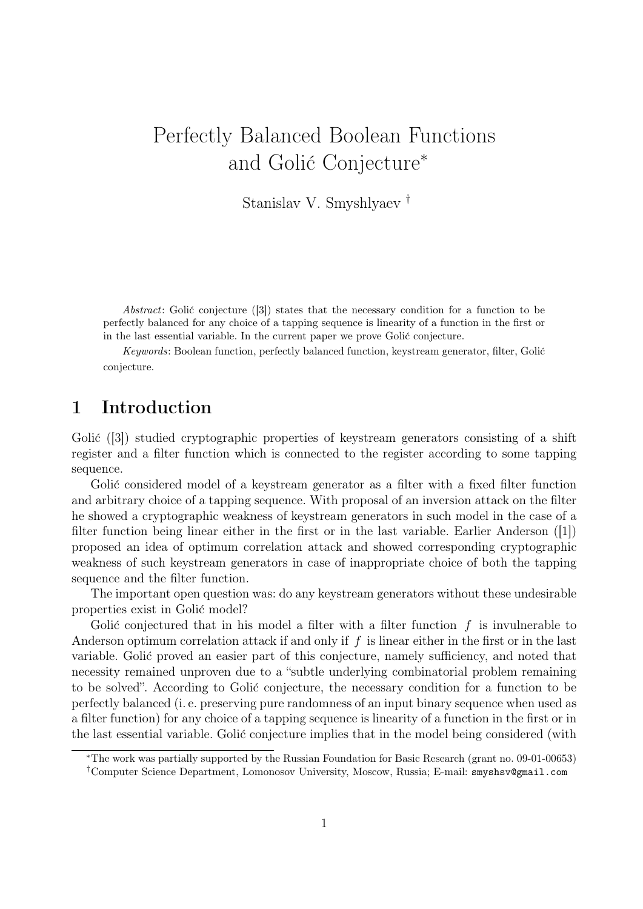# Perfectly Balanced Boolean Functions and Golić Conjecture<sup>\*</sup>

Stanislav V. Smyshlyaev †

Abstract: Golić conjecture  $([3])$  states that the necessary condition for a function to be perfectly balanced for any choice of a tapping sequence is linearity of a function in the first or in the last essential variable. In the current paper we prove Golić conjecture.

Keywords: Boolean function, perfectly balanced function, keystream generator, filter, Golić conjecture.

# 1 Introduction

Golić  $(3)$  studied cryptographic properties of keystream generators consisting of a shift register and a filter function which is connected to the register according to some tapping sequence.

Golić considered model of a keystream generator as a filter with a fixed filter function and arbitrary choice of a tapping sequence. With proposal of an inversion attack on the filter he showed a cryptographic weakness of keystream generators in such model in the case of a filter function being linear either in the first or in the last variable. Earlier Anderson ([1]) proposed an idea of optimum correlation attack and showed corresponding cryptographic weakness of such keystream generators in case of inappropriate choice of both the tapping sequence and the filter function.

The important open question was: do any keystream generators without these undesirable properties exist in Golić model?

Golić conjectured that in his model a filter with a filter function  $f$  is invulnerable to Anderson optimum correlation attack if and only if  $f$  is linear either in the first or in the last variable. Golić proved an easier part of this conjecture, namely sufficiency, and noted that necessity remained unproven due to a "subtle underlying combinatorial problem remaining to be solved". According to Golić conjecture, the necessary condition for a function to be perfectly balanced (i. e. preserving pure randomness of an input binary sequence when used as a filter function) for any choice of a tapping sequence is linearity of a function in the first or in the last essential variable. Golić conjecture implies that in the model being considered (with

<sup>∗</sup>The work was partially supported by the Russian Foundation for Basic Research (grant no. 09-01-00653) †Computer Science Department, Lomonosov University, Moscow, Russia; E-mail: smyshsv@gmail.com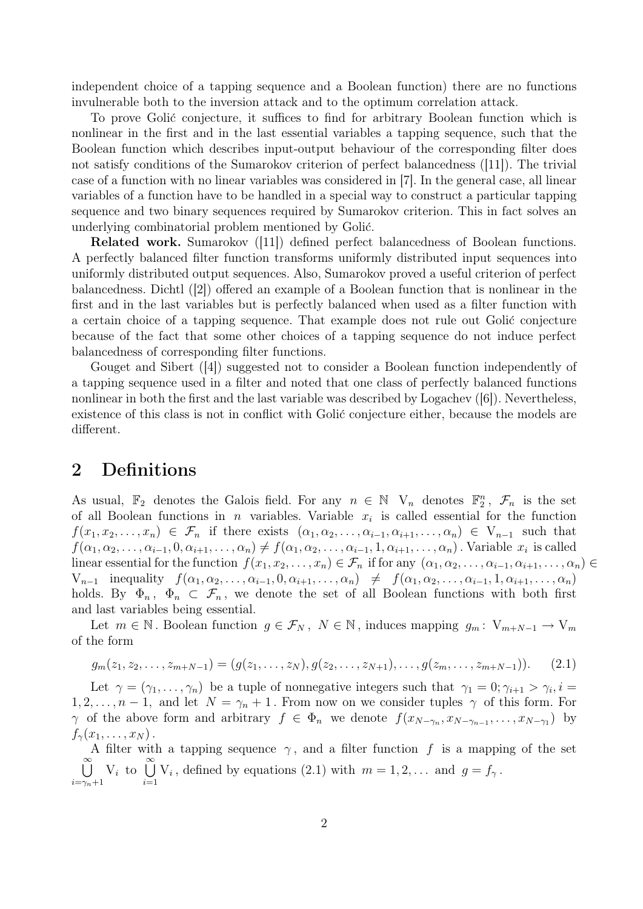independent choice of a tapping sequence and a Boolean function) there are no functions invulnerable both to the inversion attack and to the optimum correlation attack.

To prove Golić conjecture, it suffices to find for arbitrary Boolean function which is nonlinear in the first and in the last essential variables a tapping sequence, such that the Boolean function which describes input-output behaviour of the corresponding filter does not satisfy conditions of the Sumarokov criterion of perfect balancedness ([11]). The trivial case of a function with no linear variables was considered in [7]. In the general case, all linear variables of a function have to be handled in a special way to construct a particular tapping sequence and two binary sequences required by Sumarokov criterion. This in fact solves an underlying combinatorial problem mentioned by Golić.

Related work. Sumarokov ([11]) defined perfect balancedness of Boolean functions. A perfectly balanced filter function transforms uniformly distributed input sequences into uniformly distributed output sequences. Also, Sumarokov proved a useful criterion of perfect balancedness. Dichtl ([2]) offered an example of a Boolean function that is nonlinear in the first and in the last variables but is perfectly balanced when used as a filter function with a certain choice of a tapping sequence. That example does not rule out Golić conjecture because of the fact that some other choices of a tapping sequence do not induce perfect balancedness of corresponding filter functions.

Gouget and Sibert ([4]) suggested not to consider a Boolean function independently of a tapping sequence used in a filter and noted that one class of perfectly balanced functions nonlinear in both the first and the last variable was described by Logachev ([6]). Nevertheless, existence of this class is not in conflict with Golić conjecture either, because the models are different.

#### 2 Definitions

As usual,  $\mathbb{F}_2$  denotes the Galois field. For any  $n \in \mathbb{N}$  V<sub>n</sub> denotes  $\mathbb{F}_2^n$ ,  $\mathcal{F}_n$  is the set of all Boolean functions in *n* variables. Variable  $x_i$  is called essential for the function  $f(x_1, x_2, \ldots, x_n) \in \mathcal{F}_n$  if there exists  $(\alpha_1, \alpha_2, \ldots, \alpha_{i-1}, \alpha_{i+1}, \ldots, \alpha_n) \in V_{n-1}$  such that  $f(\alpha_1, \alpha_2, \ldots, \alpha_{i-1}, 0, \alpha_{i+1}, \ldots, \alpha_n) \neq f(\alpha_1, \alpha_2, \ldots, \alpha_{i-1}, 1, \alpha_{i+1}, \ldots, \alpha_n)$ . Variable  $x_i$  is called linear essential for the function  $f(x_1, x_2, \ldots, x_n) \in \mathcal{F}_n$  if for any  $(\alpha_1, \alpha_2, \ldots, \alpha_{i-1}, \alpha_{i+1}, \ldots, \alpha_n) \in$  $V_{n-1}$  inequality  $f(\alpha_1, \alpha_2, \ldots, \alpha_{i-1}, 0, \alpha_{i+1}, \ldots, \alpha_n) \neq f(\alpha_1, \alpha_2, \ldots, \alpha_{i-1}, 1, \alpha_{i+1}, \ldots, \alpha_n)$ holds. By  $\Phi_n$ ,  $\Phi_n \subset \mathcal{F}_n$ , we denote the set of all Boolean functions with both first and last variables being essential.

Let  $m \in \mathbb{N}$ . Boolean function  $g \in \mathcal{F}_N$ ,  $N \in \mathbb{N}$ , induces mapping  $g_m: V_{m+N-1} \to V_m$ of the form

$$
g_m(z_1, z_2, \dots, z_{m+N-1}) = (g(z_1, \dots, z_N), g(z_2, \dots, z_{N+1}), \dots, g(z_m, \dots, z_{m+N-1})).
$$
 (2.1)

Let  $\gamma = (\gamma_1, \ldots, \gamma_n)$  be a tuple of nonnegative integers such that  $\gamma_1 = 0; \gamma_{i+1} > \gamma_i, i =$  $1, 2, \ldots, n-1$ , and let  $N = \gamma_n + 1$ . From now on we consider tuples  $\gamma$  of this form. For  $\gamma$  of the above form and arbitrary  $f \in \Phi_n$  we denote  $f(x_{N-\gamma_n}, x_{N-\gamma_{n-1}}, \ldots, x_{N-\gamma_1})$  by  $f_{\gamma}(x_1,\ldots,x_N)$ .

A filter with a tapping sequence  $\gamma$ , and a filter function f is a mapping of the set  $\sum_{i=1}^{\infty}$  $i=\gamma_n+1$  $V_i$  to  $\bigcup^{\infty}$  $i=1$  $V_i$ , defined by equations (2.1) with  $m = 1, 2, \ldots$  and  $g = f_{\gamma}$ .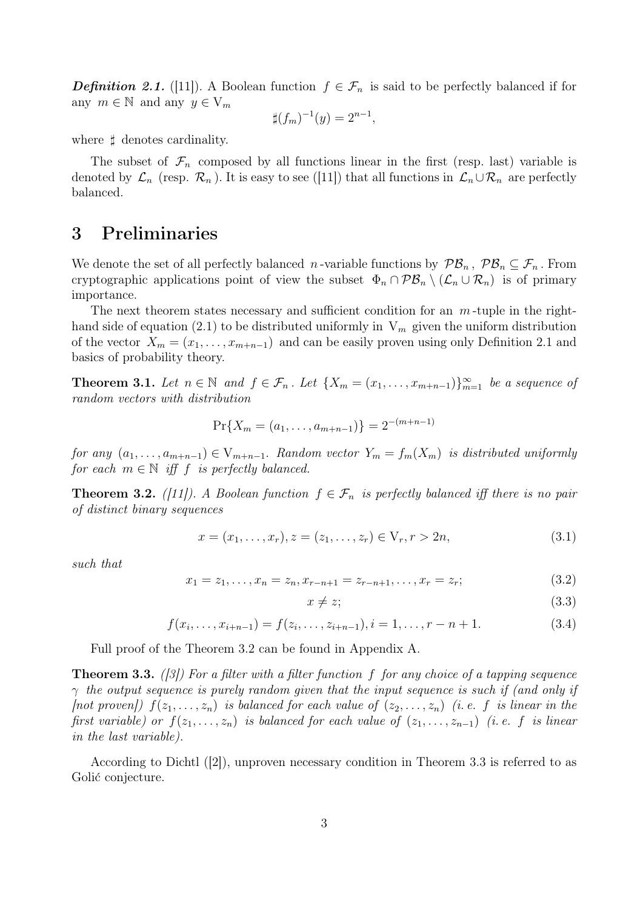**Definition 2.1.** ([11]). A Boolean function  $f \in \mathcal{F}_n$  is said to be perfectly balanced if for any  $m \in \mathbb{N}$  and any  $y \in V_m$ 

$$
\sharp (f_m)^{-1}(y) = 2^{n-1},
$$

where  $\sharp$  denotes cardinality.

The subset of  $\mathcal{F}_n$  composed by all functions linear in the first (resp. last) variable is denoted by  $\mathcal{L}_n$  (resp.  $\mathcal{R}_n$ ). It is easy to see ([11]) that all functions in  $\mathcal{L}_n \cup \mathcal{R}_n$  are perfectly balanced.

# 3 Preliminaries

We denote the set of all perfectly balanced *n*-variable functions by  $\mathcal{PB}_n$ ,  $\mathcal{PB}_n \subseteq \mathcal{F}_n$ . From cryptographic applications point of view the subset  $\Phi_n \cap \mathcal{PB}_n \setminus (\mathcal{L}_n \cup \mathcal{R}_n)$  is of primary importance.

The next theorem states necessary and sufficient condition for an  $m$ -tuple in the righthand side of equation (2.1) to be distributed uniformly in  $V_m$  given the uniform distribution of the vector  $X_m = (x_1, \ldots, x_{m+n-1})$  and can be easily proven using only Definition 2.1 and basics of probability theory.

**Theorem 3.1.** Let  $n \in \mathbb{N}$  and  $f \in \mathcal{F}_n$ . Let  $\{X_m = (x_1, \ldots, x_{m+n-1})\}_{m=1}^{\infty}$  be a sequence of random vectors with distribution

$$
\Pr\{X_m = (a_1, \ldots, a_{m+n-1})\} = 2^{-(m+n-1)}
$$

for any  $(a_1, \ldots, a_{m+n-1}) \in V_{m+n-1}$ . Random vector  $Y_m = f_m(X_m)$  is distributed uniformly for each  $m \in \mathbb{N}$  iff f is perfectly balanced.

**Theorem 3.2.** ([11]). A Boolean function  $f \in \mathcal{F}_n$  is perfectly balanced iff there is no pair of distinct binary sequences

$$
x = (x_1, \dots, x_r), z = (z_1, \dots, z_r) \in V_r, r > 2n,
$$
\n(3.1)

such that

$$
x_1 = z_1, \dots, x_n = z_n, x_{r-n+1} = z_{r-n+1}, \dots, x_r = z_r;
$$
 (3.2)

$$
x \neq z;
$$
\n<sup>(3.3)</sup>

$$
f(x_i, \ldots, x_{i+n-1}) = f(z_i, \ldots, z_{i+n-1}), i = 1, \ldots, r - n + 1.
$$
 (3.4)

Full proof of the Theorem 3.2 can be found in Appendix A.

**Theorem 3.3.** ([3]) For a filter with a filter function f for any choice of a tapping sequence  $\gamma$  the output sequence is purely random given that the input sequence is such if (and only if [not proven])  $f(z_1, \ldots, z_n)$  is balanced for each value of  $(z_2, \ldots, z_n)$  (i.e. f is linear in the first variable) or  $f(z_1, \ldots, z_n)$  is balanced for each value of  $(z_1, \ldots, z_{n-1})$  (i.e. f is linear in the last variable).

According to Dichtl ([2]), unproven necessary condition in Theorem 3.3 is referred to as Golić conjecture.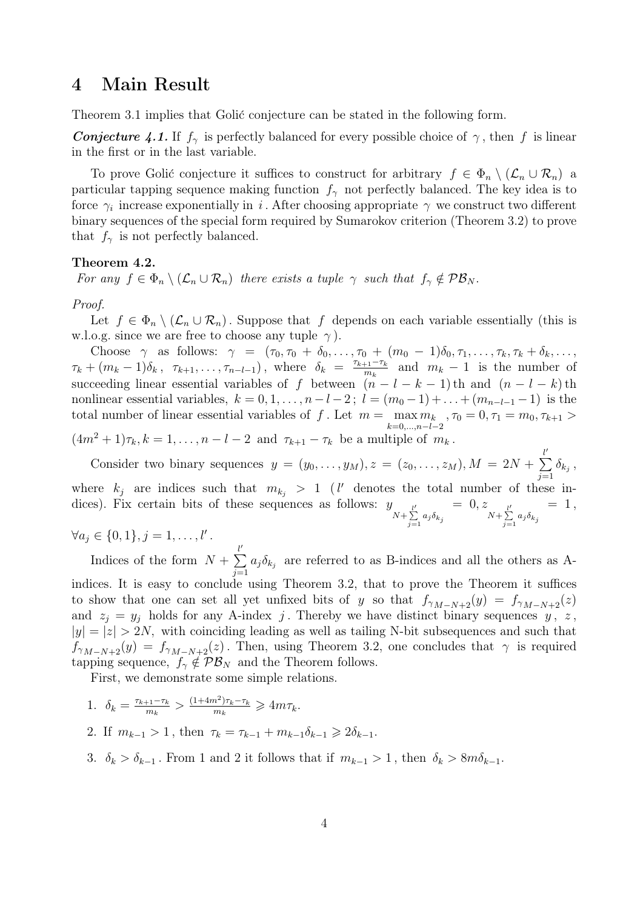#### 4 Main Result

Theorem 3.1 implies that Golić conjecture can be stated in the following form.

**Conjecture 4.1.** If  $f_\gamma$  is perfectly balanced for every possible choice of  $\gamma$ , then f is linear in the first or in the last variable.

To prove Golić conjecture it suffices to construct for arbitrary  $f \in \Phi_n \setminus (\mathcal{L}_n \cup \mathcal{R}_n)$  a particular tapping sequence making function  $f_{\gamma}$  not perfectly balanced. The key idea is to force  $\gamma_i$  increase exponentially in i. After choosing appropriate  $\gamma$  we construct two different binary sequences of the special form required by Sumarokov criterion (Theorem 3.2) to prove that  $f_{\gamma}$  is not perfectly balanced.

#### Theorem 4.2.

For any  $f \in \Phi_n \setminus (\mathcal{L}_n \cup \mathcal{R}_n)$  there exists a tuple  $\gamma$  such that  $f_\gamma \notin \mathcal{PB}_N$ .

Proof.

Let  $f \in \Phi_n \setminus (\mathcal{L}_n \cup \mathcal{R}_n)$ . Suppose that f depends on each variable essentially (this is w.l.o.g. since we are free to choose any tuple  $\gamma$ ).

Choose  $\gamma$  as follows:  $\gamma = (\tau_0, \tau_0 + \delta_0, \ldots, \tau_0 + (m_0 - 1)\delta_0, \tau_1, \ldots, \tau_k, \tau_k + \delta_k, \ldots,$  $\tau_k + (m_k - 1)\delta_k, \ \tau_{k+1}, \ldots, \tau_{n-l-1}), \text{ where } \delta_k = \frac{\tau_{k+1} - \tau_k}{m_k}$  $\frac{m_k}{m_k}$  and  $m_k - 1$  is the number of succeeding linear essential variables of f between  $(n - l - k - 1)$ th and  $(n - l - k)$ th nonlinear essential variables,  $k = 0, 1, \ldots, n-l-2$ ;  $l = (m_0 - 1) + \ldots + (m_{n-l-1} - 1)$  is the total number of linear essential variables of f. Let  $m = \max_{k=0,\dots,n-l-2} m_k$ ,  $\tau_0 = 0, \tau_1 = m_0, \tau_{k+1} >$ 

 $(4m^{2} + 1)\tau_{k}, k = 1, \ldots, n - l - 2$  and  $\tau_{k+1} - \tau_{k}$  be a multiple of  $m_{k}$ .

Consider two binary sequences  $y = (y_0, \ldots, y_M), z = (z_0, \ldots, z_M), M = 2N +$  $\sum^{\ell'}$  $\sum_{j=1} \delta_{k_j}$ 

where  $k_j$  are indices such that  $m_{k_j} > 1$  (*l'* denotes the total number of these indices). Fix certain bits of these sequences as follows:  $N+\sum_{j=1}^{l'} a_j \delta_{k_j}$  $= 0, z$  $N+\sum_{j=1}^{l'} a_j \delta_{k_j}$  $= 1,$ 

 $\forall a_j \in \{0, 1\}, j = 1, \ldots, l'$ .

Indices of the form  $N +$  $\sum^{\ell'}$  $\sum_{j=1} a_j \delta_{k_j}$  are referred to as B-indices and all the others as A-

indices. It is easy to conclude using Theorem 3.2, that to prove the Theorem it suffices to show that one can set all yet unfixed bits of y so that  $f_{\gamma_{M-N+2}}(y) = f_{\gamma_{M-N+2}}(z)$ and  $z_i = y_i$  holds for any A-index j. Thereby we have distinct binary sequences y, z,  $|y| = |z| > 2N$ , with coinciding leading as well as tailing N-bit subsequences and such that  $f_{\gamma_{M-N+2}}(y) = f_{\gamma_{M-N+2}}(z)$ . Then, using Theorem 3.2, one concludes that  $\gamma$  is required tapping sequence,  $f_{\gamma} \notin \mathcal{PB}_N$  and the Theorem follows.

First, we demonstrate some simple relations.

- 1.  $\delta_k = \frac{\tau_{k+1} \tau_k}{m_k}$  $\frac{1}{m_k}$  >  $\frac{(1+4m^2)\tau_k-\tau_k}{m_k}$  $\frac{(m^2)\tau_k-\tau_k}{m_k} \geq 4m\tau_k.$
- 2. If  $m_{k-1} > 1$ , then  $\tau_k = \tau_{k-1} + m_{k-1} \delta_{k-1} \geq 2 \delta_{k-1}$ .
- 3.  $\delta_k > \delta_{k-1}$ . From 1 and 2 it follows that if  $m_{k-1} > 1$ , then  $\delta_k > 8m\delta_{k-1}$ .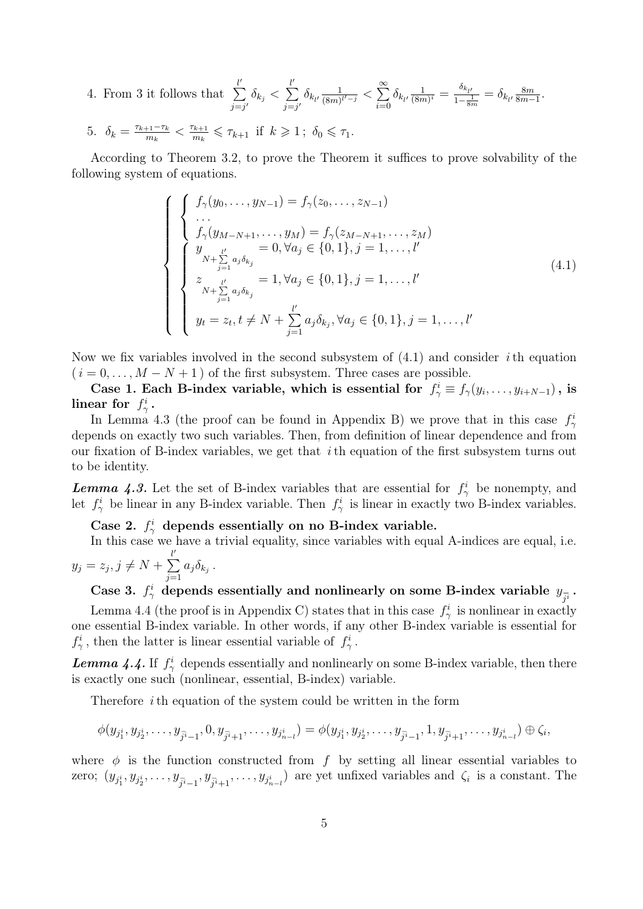- 4. From 3 it follows that  $\sum_{i=1}^{l}$  $\sum_{j=j'} \delta_{k_j} <$  $\sum_{i=1}^{l}$  $\sum_{j=j'} \delta_{k_{l'}} \frac{1}{(8m)}$  $\frac{1}{(8m)^{l'-j}} < \sum_{i=0}^{\infty}$  $\sum_{i=0} \delta_{k_{l'}} \frac{1}{(8n)}$  $\frac{1}{(8m)^i} = \frac{\delta_{k_{l'}}}{1-\frac{1}{8m}} = \delta_{k_{l'}} \frac{8m}{8m-1}$  $\frac{8m}{8m-1}$ .
- 5.  $\delta_k = \frac{\tau_{k+1} \tau_k}{m_k}$  $\frac{1}{m_k}$  <  $\frac{\tau_{k+1}}{m_k}$  $\tau_{m_k}^{k+1} \leq \tau_{k+1}$  if  $k \geq 1$ ;  $\delta_0 \leq \tau_1$ .

According to Theorem 3.2, to prove the Theorem it suffices to prove solvability of the following system of equations.

$$
\begin{cases}\n\begin{cases}\nf_{\gamma}(y_0, \dots, y_{N-1}) = f_{\gamma}(z_0, \dots, z_{N-1}) \\
\dots \\
f_{\gamma}(y_{M-N+1}, \dots, y_M) = f_{\gamma}(z_{M-N+1}, \dots, z_M) \\
y_{N+\sum_{j=1}^{\nu} a_j \delta_{k_j}} = 0, \forall a_j \in \{0, 1\}, j = 1, \dots, l'\n\end{cases} \\
z_{N+\sum_{j=1}^{l'} a_j \delta_{k_j}} = 1, \forall a_j \in \{0, 1\}, j = 1, \dots, l'\n\end{cases} (4.1)
$$
\n
$$
y_t = z_t, t \neq N + \sum_{j=1}^{l'} a_j \delta_{k_j}, \forall a_j \in \{0, 1\}, j = 1, \dots, l'
$$

Now we fix variables involved in the second subsystem of  $(4.1)$  and consider *i*th equation  $(i = 0, \ldots, M - N + 1)$  of the first subsystem. Three cases are possible.

Case 1. Each B-index variable, which is essential for  $f^i_\gamma \equiv f_\gamma(y_i, \dots, y_{i+N-1})$ , is linear for  $f^i_\gamma$ .

In Lemma 4.3 (the proof can be found in Appendix B) we prove that in this case  $f_{\gamma}^i$ depends on exactly two such variables. Then, from definition of linear dependence and from our fixation of B-index variables, we get that  $i$  th equation of the first subsystem turns out to be identity.

**Lemma 4.3.** Let the set of B-index variables that are essential for  $f^i_\gamma$  be nonempty, and let  $f_{\gamma}^{i}$  be linear in any B-index variable. Then  $f_{\gamma}^{i}$  is linear in exactly two B-index variables.

Case 2.  $f_{\gamma}^{i}$  depends essentially on no B-index variable.

In this case we have a trivial equality, since variables with equal A-indices are equal, i.e.  $y_j = z_j, j \neq N +$  $\sum^{\ell'}$  $\sum_{j=1} a_j \delta_{k_j}$ .

Case 3.  $f^i_\gamma$  depends essentially and nonlinearly on some B-index variable  $y_{\overline{j^i}}$ .

Lemma 4.4 (the proof is in Appendix C) states that in this case  $f_{\gamma}^{i}$  is nonlinear in exactly one essential B-index variable. In other words, if any other B-index variable is essential for  $f_{\gamma}^{i}$ , then the latter is linear essential variable of  $f_{\gamma}^{i}$ .

**Lemma 4.4.** If  $f^i_\gamma$  depends essentially and nonlinearly on some B-index variable, then there is exactly one such (nonlinear, essential, B-index) variable.

Therefore ith equation of the system could be written in the form

$$
\phi(y_{j_1^i}, y_{j_2^i}, \dots, y_{j_{i-1}^i}, 0, y_{j_{i+1}^i}, \dots, y_{j_{n-i}^i}) = \phi(y_{j_1^i}, y_{j_2^i}, \dots, y_{j_{i-1}^i}, 1, y_{j_{i+1}^i}, \dots, y_{j_{n-i}^i}) \oplus \zeta_i,
$$

where  $\phi$  is the function constructed from f by setting all linear essential variables to zero;  $(y_{j_1^i}, y_{j_2^i}, \ldots, y_{j_{i-1}^i}, y_{j_{i+1}^i}, \ldots, y_{j_{n-l}^i})$  are yet unfixed variables and  $\zeta_i$  is a constant. The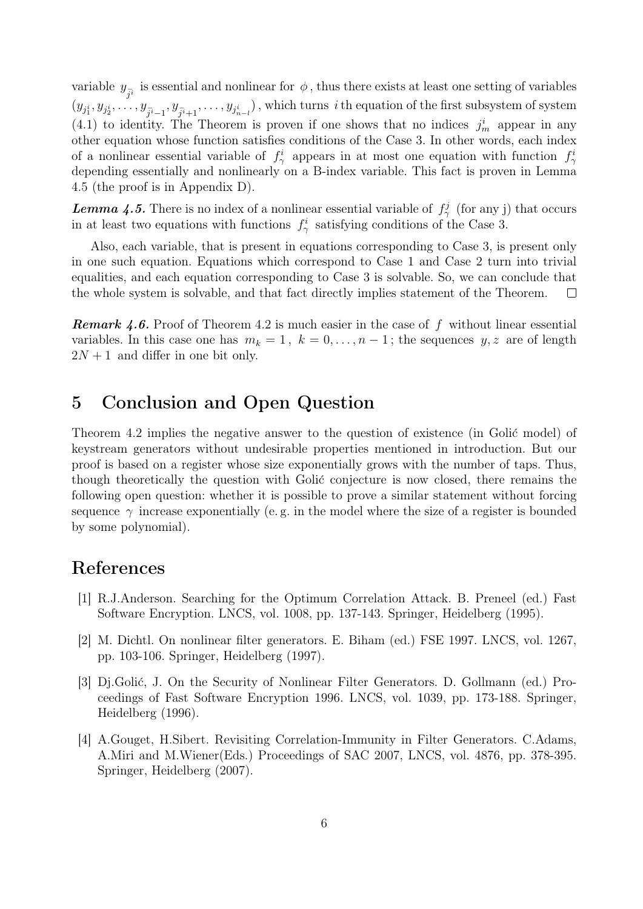variable  $y_{\overline{j}i}$  is essential and nonlinear for  $\phi$ , thus there exists at least one setting of variables  $(y_{j_1^i}, y_{j_2^i}, \ldots, y_{j_{i-1}^i}, y_{j_{i+1}^i}, \ldots, y_{j_{n-l}^i})$  , which turns  $i$  th equation of the first subsystem of system  $(4.1)$  to identity. The Theorem is proven if one shows that no indices  $j_m^i$  appear in any other equation whose function satisfies conditions of the Case 3. In other words, each index of a nonlinear essential variable of  $f_{\gamma}^{i}$  appears in at most one equation with function  $f_{\gamma}^{i}$ depending essentially and nonlinearly on a B-index variable. This fact is proven in Lemma 4.5 (the proof is in Appendix D).

**Lemma 4.5.** There is no index of a nonlinear essential variable of  $f^j_\gamma$  (for any j) that occurs in at least two equations with functions  $f_{\gamma}^{i}$  satisfying conditions of the Case 3.

Also, each variable, that is present in equations corresponding to Case 3, is present only in one such equation. Equations which correspond to Case 1 and Case 2 turn into trivial equalities, and each equation corresponding to Case 3 is solvable. So, we can conclude that the whole system is solvable, and that fact directly implies statement of the Theorem.  $\Box$ 

**Remark 4.6.** Proof of Theorem 4.2 is much easier in the case of  $f$  without linear essential variables. In this case one has  $m_k = 1$ ,  $k = 0, \ldots, n-1$ ; the sequences  $y, z$  are of length  $2N + 1$  and differ in one bit only.

# 5 Conclusion and Open Question

Theorem 4.2 implies the negative answer to the question of existence (in Golić model) of keystream generators without undesirable properties mentioned in introduction. But our proof is based on a register whose size exponentially grows with the number of taps. Thus, though theoretically the question with Golić conjecture is now closed, there remains the following open question: whether it is possible to prove a similar statement without forcing sequence  $\gamma$  increase exponentially (e.g. in the model where the size of a register is bounded by some polynomial).

# References

- [1] R.J.Anderson. Searching for the Optimum Correlation Attack. B. Preneel (ed.) Fast Software Encryption. LNCS, vol. 1008, pp. 137-143. Springer, Heidelberg (1995).
- [2] M. Dichtl. On nonlinear filter generators. E. Biham (ed.) FSE 1997. LNCS, vol. 1267, pp. 103-106. Springer, Heidelberg (1997).
- [3] Dj.Golić, J. On the Security of Nonlinear Filter Generators. D. Gollmann (ed.) Proceedings of Fast Software Encryption 1996. LNCS, vol. 1039, pp. 173-188. Springer, Heidelberg (1996).
- [4] A.Gouget, H.Sibert. Revisiting Correlation-Immunity in Filter Generators. C.Adams, A.Miri and M.Wiener(Eds.) Proceedings of SAC 2007, LNCS, vol. 4876, pp. 378-395. Springer, Heidelberg (2007).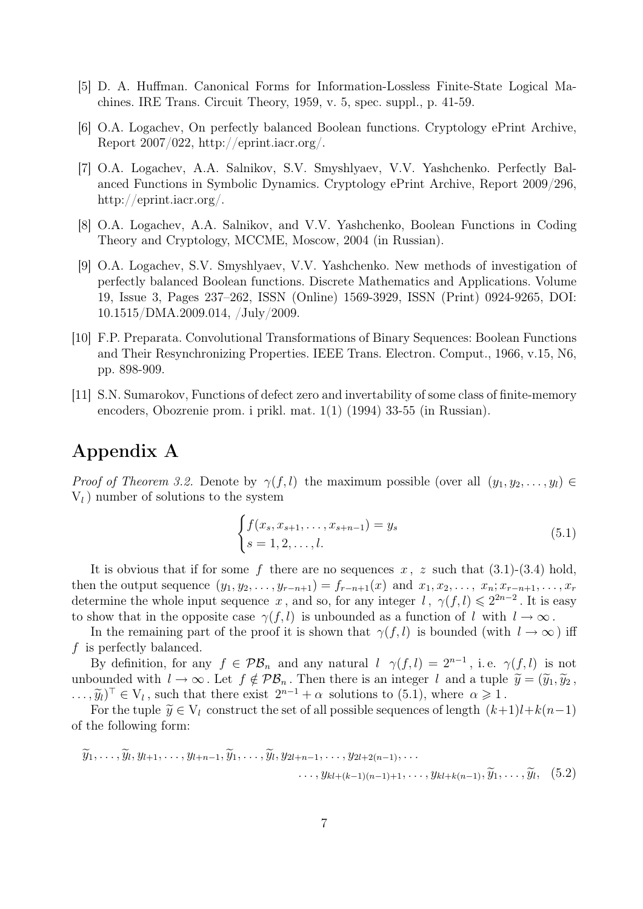- [5] D. A. Huffman. Canonical Forms for Information-Lossless Finite-State Logical Machines. IRE Trans. Circuit Theory, 1959, v. 5, spec. suppl., p. 41-59.
- [6] O.A. Logachev, On perfectly balanced Boolean functions. Cryptology ePrint Archive, Report 2007/022, http://eprint.iacr.org/.
- [7] O.A. Logachev, A.A. Salnikov, S.V. Smyshlyaev, V.V. Yashchenko. Perfectly Balanced Functions in Symbolic Dynamics. Cryptology ePrint Archive, Report 2009/296, http://eprint.iacr.org/.
- [8] O.A. Logachev, A.A. Salnikov, and V.V. Yashchenko, Boolean Functions in Coding Theory and Cryptology, MCCME, Moscow, 2004 (in Russian).
- [9] O.A. Logachev, S.V. Smyshlyaev, V.V. Yashchenko. New methods of investigation of perfectly balanced Boolean functions. Discrete Mathematics and Applications. Volume 19, Issue 3, Pages 237–262, ISSN (Online) 1569-3929, ISSN (Print) 0924-9265, DOI: 10.1515/DMA.2009.014, /July/2009.
- [10] F.P. Preparata. Convolutional Transformations of Binary Sequences: Boolean Functions and Their Resynchronizing Properties. IEEE Trans. Electron. Comput., 1966, v.15, N6, pp. 898-909.
- [11] S.N. Sumarokov, Functions of defect zero and invertability of some class of finite-memory encoders, Obozrenie prom. i prikl. mat. 1(1) (1994) 33-55 (in Russian).

# Appendix A

Proof of Theorem 3.2. Denote by  $\gamma(f, l)$  the maximum possible (over all  $(y_1, y_2, \ldots, y_l) \in$  $V_l$ ) number of solutions to the system

$$
\begin{cases} f(x_s, x_{s+1}, \dots, x_{s+n-1}) = y_s \\ s = 1, 2, \dots, l. \end{cases} \tag{5.1}
$$

It is obvious that if for some f there are no sequences x, z such that  $(3.1)-(3.4)$  hold, then the output sequence  $(y_1, y_2, \ldots, y_{r-n+1}) = f_{r-n+1}(x)$  and  $x_1, x_2, \ldots, x_n; x_{r-n+1}, \ldots, x_r$ determine the whole input sequence x, and so, for any integer l,  $\gamma(f, l) \leq 2^{2n-2}$ . It is easy to show that in the opposite case  $\gamma(f, l)$  is unbounded as a function of l with  $l \to \infty$ .

In the remaining part of the proof it is shown that  $\gamma(f, l)$  is bounded (with  $l \to \infty$ ) iff f is perfectly balanced.

By definition, for any  $f \in \mathcal{PB}_n$  and any natural  $l \gamma(f, l) = 2^{n-1}$ , i.e.  $\gamma(f, l)$  is not unbounded with  $l \to \infty$ . Let  $f \notin \mathcal{PB}_n$ . Then there is an integer l and a tuple  $\widetilde{y} = (\widetilde{y}_1, \widetilde{y}_2, \widetilde{y}_3, \widetilde{y}_4, \widetilde{y}_5, \widetilde{y}_6, \widetilde{y}_7, \widetilde{y}_8, \widetilde{y}_9, \widetilde{y}_9, \widetilde{y}_9, \widetilde{y}_9, \widetilde{y}_9, \widetilde{y}_9, \widetilde$  $(\tilde{y}_l)^\top \in V_l$ , such that there exist  $2^{n-1} + \alpha$  solutions to (5.1), where  $\alpha \geq 1$ .<br>For the tuple  $\tilde{y} \in V_l$  construct the set of all possible sequences of length  $(k)$ .

For the tuple  $\widetilde{y} \in V_l$  construct the set of all possible sequences of length  $(k+1)l+k(n-1)$ of the following form:

$$
\widetilde{y}_1,\ldots,\widetilde{y}_l,y_{l+1},\ldots,y_{l+n-1},\widetilde{y}_1,\ldots,\widetilde{y}_l,y_{2l+n-1},\ldots,y_{2l+2(n-1)},\ldots
$$

$$
\ldots,y_{kl+(k-1)(n-1)+1},\ldots,y_{kl+k(n-1)},\widetilde{y}_1,\ldots,\widetilde{y}_l,\quad(5.2)
$$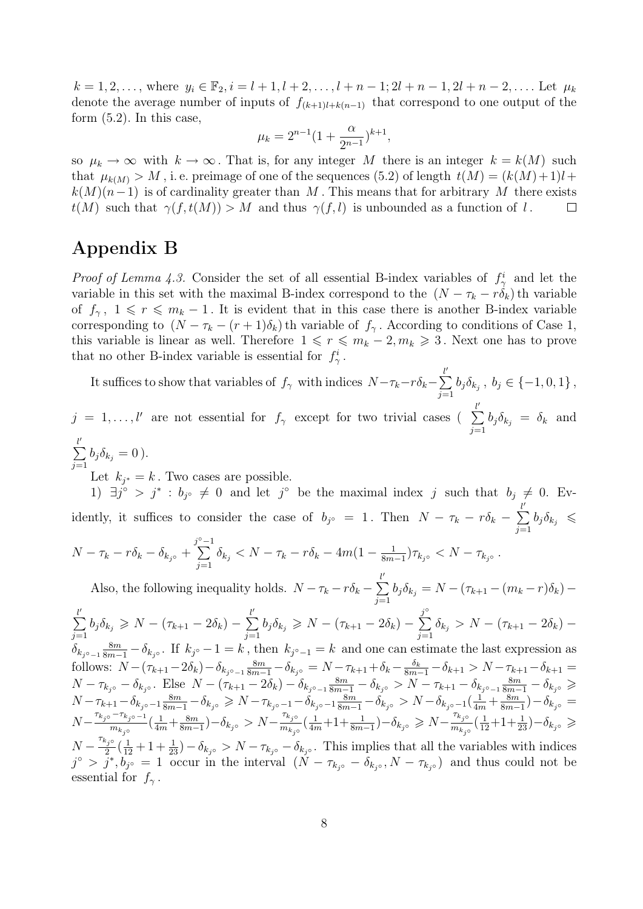$k = 1, 2, \ldots$ , where  $y_i \in \mathbb{F}_2$ ,  $i = l + 1, l + 2, \ldots, l + n - 1; 2l + n - 1, 2l + n - 2, \ldots$ . Let  $\mu_k$ denote the average number of inputs of  $f_{(k+1)l+k(n-1)}$  that correspond to one output of the form  $(5.2)$ . In this case,

$$
\mu_k = 2^{n-1} \left( 1 + \frac{\alpha}{2^{n-1}} \right)^{k+1},
$$

so  $\mu_k \to \infty$  with  $k \to \infty$ . That is, for any integer M there is an integer  $k = k(M)$  such that  $\mu_{k(M)} > M$ , i.e. preimage of one of the sequences (5.2) of length  $t(M) = (k(M) + 1)l +$  $k(M)(n-1)$  is of cardinality greater than M. This means that for arbitrary M there exists  $t(M)$  such that  $\gamma(f, t(M)) > M$  and thus  $\gamma(f, l)$  is unbounded as a function of l.  $\Box$ 

# Appendix B

*Proof of Lemma 4.3.* Consider the set of all essential B-index variables of  $f^i_\gamma$  and let the variable in this set with the maximal B-index correspond to the  $(N - \tau_k - r\delta_k)$  th variable of  $f_\gamma$ ,  $1 \leqslant r \leqslant m_k - 1$ . It is evident that in this case there is another B-index variable corresponding to  $(N - \tau_k - (r + 1)\delta_k)$  th variable of  $f_\gamma$ . According to conditions of Case 1, this variable is linear as well. Therefore  $1 \leq r \leq m_k - 2, m_k \geq 3$ . Next one has to prove that no other B-index variable is essential for  $f^i_\gamma$ .

It suffices to show that variables of  $f_\gamma$  with indices  $N-\tau_k-r\delta_k-\tau$  $\sum_{i=1}^{l}$  $\sum_{j=1} b_j \delta_{k_j}, b_j \in \{-1, 0, 1\},$ 

 $j = 1, \ldots, l'$  are not essential for  $f_{\gamma}$  except for two trivial cases ( $\sum_{i=1}^{l'}$  $\sum_{j=1} b_j \delta_{k_j} = \delta_k$  and

$$
\sum_{j=1}^{l'} b_j \delta_{k_j} = 0.
$$

Let  $k_{j^*} = k$ . Two cases are possible.

1)  $\exists j^{\circ} > j^* : b_{j^{\circ}} \neq 0$  and let  $j^{\circ}$  be the maximal index j such that  $b_j \neq 0$ . Evidently, it suffices to consider the case of  $b_{j^{\circ}} = 1$ . Then  $N - \tau_k - r\delta_k$  $\sum_{i=1}^{l'}$  $\sum_{j=1}^{\infty} b_j \delta_{k_j} \leq$  $N - \tau_k - r\delta_k - \delta_{k_j \circ}$  +  $\sum_{i=1}^{j^{\circ}-1}$  $\sum_{j=1} \delta_{k_j} < N - \tau_k - r \delta_k - 4m(1 - \frac{1}{8m})$  $\frac{1}{8m-1})\tau_{k_j\circ} < N-\tau_{k_j\circ}$  .

Also, the following inequality holds.  $N - \tau_k - r\delta_k$  –  $\sum^{\ell'}$  $\sum_{j=1} b_j \delta_{k_j} = N - (\tau_{k+1} - (m_k - r) \delta_k) \sum^{\ell'}$  $\sum_{j=1}^{l'} b_j \delta_{k_j} \geq N - (\tau_{k+1} - 2\delta_k) - \sum_{j=1}^{l'}$  $\sum_{j=1}^{l'} b_j \delta_{k_j} \geq N - (\tau_{k+1} - 2\delta_k) - \sum_{j=1}^{j^{\circ}}$  $\sum_{j=1} \delta_{k_j} > N - (\tau_{k+1} - 2\delta_k) \delta_{k_{j} \circ -1} \frac{8m}{8m-1} - \delta_{k_{j} \circ}$ . If  $k_{j} \circ -1 = k$ , then  $k_{j} \circ -1 = k$  and one can estimate the last expression as

follows:  $N - (\tau_{k+1} - 2\delta_k) - \delta_{k_j \circ -1} \frac{8m}{8m-1} - \delta_{k_j \circ} = N - \tau_{k+1} + \delta_k - \frac{\delta_k}{8m-1} - \delta_{k+1} > N - \tau_{k+1} - \delta_{k+1} =$  $N - \tau_{k_j\circ} - \delta_{k_j\circ}$ . Else  $N - (\tau_{k+1} - 2\delta_k) - \delta_{k_j\circ} - \frac{8m}{8m-1} - \delta_{k_j\circ} > N - \tau_{k+1} - \delta_{k_j\circ} - \frac{8m}{8m-1} - \delta_{k_j\circ}$  $N-\tau_{k+1}-\delta_{k_j\circ-1}\frac{8m}{8m-1}-\delta_{k_j\circ} \geqslant N-\tau_{k_j\circ-1}-\delta_{k_j\circ-1}\frac{8m}{8m-1}-\delta_{k_j\circ} > N-\delta_{k_j\circ-1}(\frac{1}{4m}+\frac{8m}{8m-1}-\frac{1}{4m})$  $\frac{8m}{8m-1}$ ) —  $\delta_{k_j \circ} =$  $N-\frac{\tau_{k_j\circ}-\tau_{k_j\circ-1}}{m}$  $\frac{(-7k_j \circ -1)}{m_{k_j \circ}} \left( \frac{1}{4m} + \frac{8m}{8m} \right)$  $\frac{8m}{8m-1}$ ) –  $\delta_{k_j \circ} > N - \frac{\tau_{k_j \circ}}{m_{k_j \circ}}$  $\frac{\tau_{k_j\circ}}{m_{k_j\circ}}(\frac{1}{4m}+1+\frac{1}{8m-1})-\delta_{k_j\circ}\geqslant N-\frac{\tau_{k_j\circ}}{m_{k_j\circ}}$  $\frac{\tau_{k_j\circ}}{m_{k_j\circ}}(\frac{1}{12}+1+\frac{1}{23})-\delta_{k_j\circ} \geqslant$  $N-\frac{\tau_{k_j\circ}}{2}$  $\frac{a_{j0}}{2}(\frac{1}{12}+1+\frac{1}{23})-\delta_{k_{j0}}>N-\tau_{k_{j0}}-\delta_{k_{j0}}.$  This implies that all the variables with indices

 $j^{\circ} > \bar{j}^*, \bar{b_{j^{\circ}}} = 1$  occur in the interval  $(\check{N} - \tau_{k_j \circ} - \delta_{k_j \circ}, N - \tau_{k_j \circ})$  and thus could not be essential for  $f_{\gamma}$ .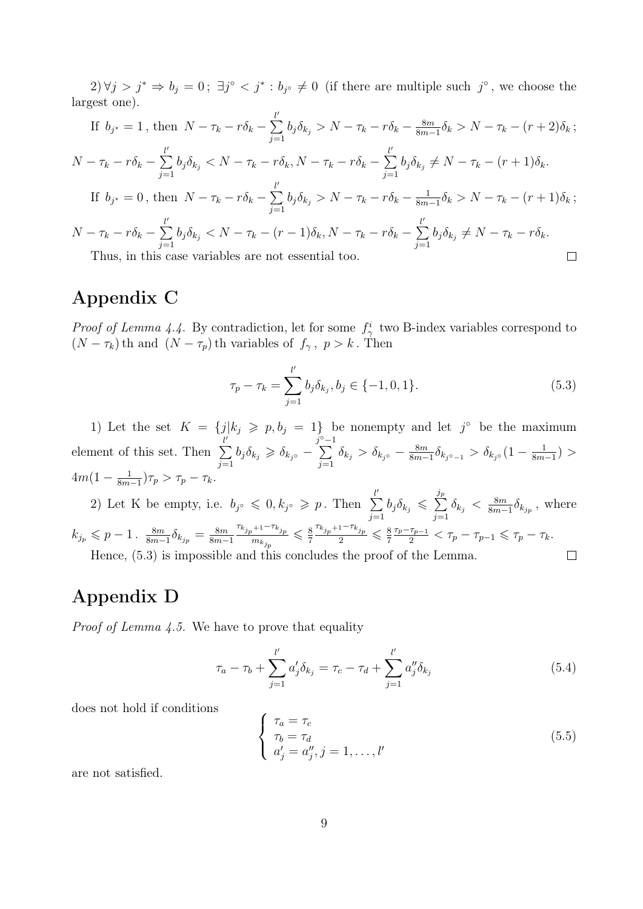$2\forall j > j^* \Rightarrow b_j = 0; \exists j^{\circ} < j^* : b_{j^{\circ}} \neq 0$  (if there are multiple such  $j^{\circ}$ , we choose the largest one).

If 
$$
b_{j^*} = 1
$$
, then  $N - \tau_k - r\delta_k - \sum_{j=1}^{l'} b_j \delta_{k_j} > N - \tau_k - r\delta_k - \frac{8m}{8m-1} \delta_k > N - \tau_k - (r+2)\delta_k$ ;  
\n $N - \tau_k - r\delta_k - \sum_{j=1}^{l'} b_j \delta_{k_j} < N - \tau_k - r\delta_k$ ,  $N - \tau_k - r\delta_k - \sum_{j=1}^{l'} b_j \delta_{k_j} \neq N - \tau_k - (r+1)\delta_k$ .  
\nIf  $b_{j^*} = 0$ , then  $N - \tau_k - r\delta_k - \sum_{j=1}^{l'} b_j \delta_{k_j} > N - \tau_k - r\delta_k - \frac{1}{8m-1} \delta_k > N - \tau_k - (r+1)\delta_k$ ;  
\n $N - \tau_k - r\delta_k - \sum_{j=1}^{l'} b_j \delta_{k_j} < N - \tau_k - (r-1)\delta_k$ ,  $N - \tau_k - r\delta_k - \sum_{j=1}^{l'} b_j \delta_{k_j} \neq N - \tau_k - r\delta_k$ .  
\nThus, in this case variables are not essential too.

Thus, in this case variables are not essential too.

# Appendix C

*Proof of Lemma 4.4.* By contradiction, let for some  $f_{\gamma}^{i}$  two B-index variables correspond to  $(N - \tau_k)$ th and  $(N - \tau_p)$ th variables of  $f_\gamma$ ,  $p > k$ . Then

$$
\tau_p - \tau_k = \sum_{j=1}^{l'} b_j \delta_{k_j}, b_j \in \{-1, 0, 1\}.
$$
\n(5.3)

1) Let the set  $K = \{j|k_j \geq p, b_j = 1\}$  be nonempty and let  $j^{\circ}$  be the maximum element of this set. Then  $\sum^{\ell'}$  $\sum_{j=1}^{l'} b_j \delta_{k_j} \geq \delta_{k_j} - \sum_{j=1}^{j^{\circ}-1}$  $\sum_{j=1} \delta_{k_j} > \delta_{k_j \circ} - \frac{8m}{8m-1}$  $\frac{8m}{8m-1}\delta_{k_{j}\circ_{-1}} > \delta_{k_{j}\circ}(1-\frac{1}{8m})$  $\frac{1}{8m-1})$  >  $4m(1-\frac{1}{8m})$  $\frac{1}{8m-1}$ ) $\tau_p > \tau_p - \tau_k$ .

2) Let K be empty, i.e.  $b_{j^{\circ}} \leqslant 0, k_{j^{\circ}} \geqslant p$ . Then  $\sum_{i=1}^{l'}$ jp  $\sum_{j=1}^{\infty} b_j \delta_{k_j} \leqslant \sum_{j=1}^{\infty}$  $\sum_{j=1}^{N} \delta_{k_j} < \frac{8m}{8m-1}$  $\frac{8m}{8m-1}\delta_{k_{j_p}}$ , where  $\tau_{k_{jp}+1}-\tau_{k_{jp}}$  $\frac{\tau_{k_{jp}+1}-\tau_{k_{jp}}}{2} \leqslant \frac{8}{7}$  $\frac{\tau_p-\tau_{p-1}}{2} < \tau_p - \tau_{p-1} \leqslant \tau_p - \tau_k.$  $k_{j_p} \leqslant p-1$ .  $\frac{8m}{8m-1}$  $\frac{8m}{8m-1}\delta_{k_{jp}}=\frac{8m}{8m-1}$  $\leq \frac{8}{5}$ 8m−1  $m_{k_{j_p}}$ 7 7 Hence, (5.3) is impossible and this concludes the proof of the Lemma.  $\Box$ 

# Appendix D

*Proof of Lemma 4.5.* We have to prove that equality

$$
\tau_a - \tau_b + \sum_{j=1}^{l'} a'_j \delta_{k_j} = \tau_c - \tau_d + \sum_{j=1}^{l'} a''_j \delta_{k_j}
$$
\n(5.4)

does not hold if conditions

$$
\begin{cases}\n\tau_a = \tau_c \\
\tau_b = \tau_d \\
a'_j = a''_j, j = 1, \dots, l'\n\end{cases}
$$
\n(5.5)

are not satisfied.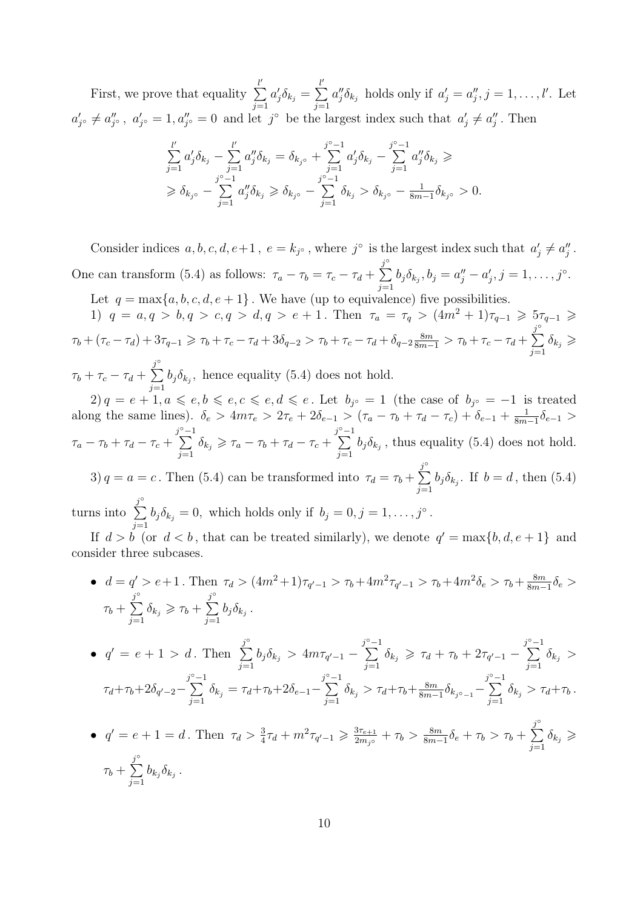First, we prove that equality  $\sum_{i=1}^{l}$  $j=1$  $a'_j \delta_{k_j} =$  $\sum_{i=1}^{l}$  $j=1$  $a''_j \delta_{k_j}$  holds only if  $a'_j = a''_j, j = 1, \ldots, l'$ . Let  $a'_{j} \in a''_{j}$ ,  $a'_{j} = 1, a''_{j} = 0$  and let j<sup>o</sup> be the largest index such that  $a'_{j} \neq a''_{j}$ . Then

$$
\sum_{j=1}^{l'} a'_j \delta_{k_j} - \sum_{j=1}^{l'} a''_j \delta_{k_j} = \delta_{k_j} + \sum_{j=1}^{j^{\circ}-1} a'_j \delta_{k_j} - \sum_{j=1}^{j^{\circ}-1} a''_j \delta_{k_j} \ge
$$
  
\n
$$
\geq \delta_{k_j} - \sum_{j=1}^{j^{\circ}-1} a''_j \delta_{k_j} \geq \delta_{k_j} - \sum_{j=1}^{j^{\circ}-1} \delta_{k_j} > \delta_{k_j} - \frac{1}{8m-1} \delta_{k_j} > 0.
$$

Consider indices  $a, b, c, d, e+1, e = k_{j^{\circ}}$ , where  $j^{\circ}$  is the largest index such that  $a'_{j} \neq a''_{j}$ . One can transform (5.4) as follows:  $\tau_a - \tau_b = \tau_c - \tau_d +$  $\sum_{j=1}^{j^{\circ}} b_j \delta_{k_j}, b_j = a''_j - a'_j, j = 1, \ldots, j^{\circ}.$  $j=1$ 

Let  $q = \max\{a, b, c, d, e + 1\}$ . We have (up to equivalence) five possibilities.

1)  $q = a, q > b, q > c, q > d, q > e + 1$ . Then  $\tau_a = \tau_q > (4m^2 + 1)\tau_{q-1} \geq \tau_{q-1} \geq$  $\tau_b + (\tau_c - \tau_d) + 3\tau_{q-1} \geq \tau_b + \tau_c - \tau_d + 3\delta_{q-2} > \tau_b + \tau_c - \tau_d + \delta_{q-2} \frac{8m}{8m-1} > \tau_b + \tau_c - \tau_d +$  $\sum_{i=1}^{j^{\circ}}$  $\sum_{j=1}^{\tilde{j}} \delta_{k_j} \geqslant$ 

$$
\tau_b + \tau_c - \tau_d + \sum_{j=1}^{j^{\circ}} b_j \delta_{k_j}
$$
, hence equality (5.4) does not hold.  
\n $2) q = e + 1, a \leqslant e, b \leqslant e, c \leqslant e, d \leqslant e$ . Let  $b_{j^{\circ}} = 1$  (the case of  $b_{j^{\circ}} = -1$  is treated

along the same lines).  $\delta_e > 4m\tau_e > 2\tau_e + 2\delta_{e-1} > (\tau_a - \tau_b + \tau_d - \tau_c) + \delta_{e-1} + \frac{1}{8m}$  $\frac{1}{8m-1}\delta_{e-1} >$  $\tau_a - \tau_b + \tau_d - \tau_c +$  $\sum_{i=1}^{j^{\circ}-1}$  $\sum_{j=1}^{j^{\circ}-1} \delta_{k_j} \geqslant \tau_a - \tau_b + \tau_d - \tau_c + \sum_{j=1}^{j^{\circ}-1}$  $\sum_{j=1} b_j \delta_{k_j}$ , thus equality (5.4) does not hold. 3)  $q = a = c$ . Then (5.4) can be transformed into  $\tau_d = \tau_b +$  $\sum_{i=1}^{j^{\circ}}$  $\sum_{j=1} b_j \delta_{k_j}$ . If  $b = d$ , then (5.4)  $\sum_{i=1}^{j^{\circ}}$ 

turns into  $\sum_{j=1}^{n} b_j \delta_{k_j} = 0$ , which holds only if  $b_j = 0, j = 1, \ldots, j^{\circ}$ .

If  $d > b$  (or  $d < b$ , that can be treated similarly), we denote  $q' = \max\{b, d, e + 1\}$  and consider three subcases.

•  $d = q' > e+1$ . Then  $\tau_d > (4m^2+1)\tau_{q'-1} > \tau_b+4m^2\tau_{q'-1} > \tau_b+4m^2\delta_e > \tau_b+\frac{8m}{8m-1}$  $\frac{8m}{8m-1}\delta_e >$  $\tau_b +$  $\sum_{i=1}^{n}$  $\sum_{j=1}^{j^{\circ}} \delta_{k_j} \geqslant \tau_b + \sum_{j=1}^{j^{\circ}}$  $\sum_{j=1} b_j \delta_{k_j}.$ 

• 
$$
q' = e + 1 > d
$$
. Then  $\sum_{j=1}^{j^{\circ}} b_j \delta_{k_j} > 4m\tau_{q'-1} - \sum_{j=1}^{j^{\circ}-1} \delta_{k_j} \ge \tau_d + \tau_b + 2\tau_{q'-1} - \sum_{j=1}^{j^{\circ}-1} \delta_{k_j} >$   
 $\tau_d + \tau_b + 2\delta_{q'-2} - \sum_{j=1}^{j^{\circ}-1} \delta_{k_j} = \tau_d + \tau_b + 2\delta_{e-1} - \sum_{j=1}^{j^{\circ}-1} \delta_{k_j} > \tau_d + \tau_b + \frac{8m}{8m-1}\delta_{k_{j^{\circ}-1}} - \sum_{j=1}^{j^{\circ}-1} \delta_{k_j} > \tau_d + \tau_b.$ 

• 
$$
q' = e + 1 = d
$$
. Then  $\tau_d > \frac{3}{4}\tau_d + m^2\tau_{q'-1} \ge \frac{3\tau_{e+1}}{2m_{j^o}} + \tau_b > \frac{8m}{8m-1}\delta_e + \tau_b > \tau_b + \sum_{j=1}^{j^o} \delta_{k_j} \ge \tau_b + \sum_{j=1}^{j^o} b_{k_j}\delta_{k_j}$ .